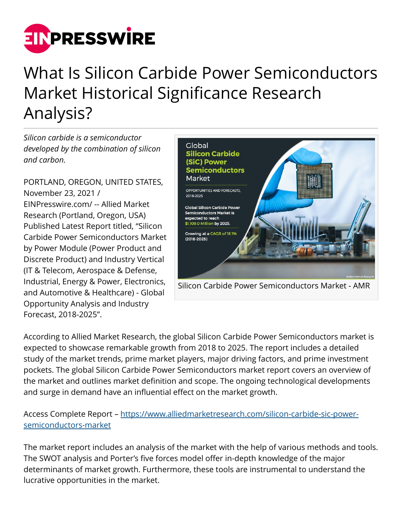

## What Is Silicon Carbide Power Semiconductors Market Historical Significance Research Analysis?

*Silicon carbide is a semiconductor developed by the combination of silicon and carbon.* 

PORTLAND, OREGON, UNITED STATES, November 23, 2021 / [EINPresswire.com](http://www.einpresswire.com)/ -- Allied Market Research (Portland, Oregon, USA) Published Latest Report titled, "Silicon Carbide Power Semiconductors Market by Power Module (Power Product and Discrete Product) and Industry Vertical (IT & Telecom, Aerospace & Defense, Industrial, Energy & Power, Electronics, and Automotive & Healthcare) - Global Opportunity Analysis and Industry Forecast, 2018-2025".



Silicon Carbide Power Semiconductors Market - AMR

According to Allied Market Research, the global Silicon Carbide Power Semiconductors market is expected to showcase remarkable growth from 2018 to 2025. The report includes a detailed study of the market trends, prime market players, major driving factors, and prime investment pockets. The global Silicon Carbide Power Semiconductors market report covers an overview of the market and outlines market definition and scope. The ongoing technological developments and surge in demand have an influential effect on the market growth.

Access Complete Report – [https://www.alliedmarketresearch.com/silicon-carbide-sic-power](https://www.alliedmarketresearch.com/silicon-carbide-sic-power-semiconductors-market)[semiconductors-market](https://www.alliedmarketresearch.com/silicon-carbide-sic-power-semiconductors-market)

The market report includes an analysis of the market with the help of various methods and tools. The SWOT analysis and Porter's five forces model offer in-depth knowledge of the major determinants of market growth. Furthermore, these tools are instrumental to understand the lucrative opportunities in the market.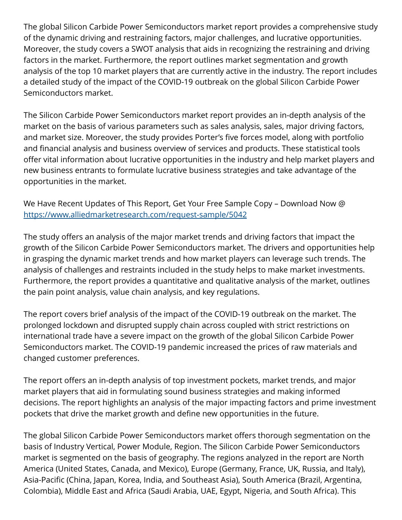The global Silicon Carbide Power Semiconductors market report provides a comprehensive study of the dynamic driving and restraining factors, major challenges, and lucrative opportunities. Moreover, the study covers a SWOT analysis that aids in recognizing the restraining and driving factors in the market. Furthermore, the report outlines market segmentation and growth analysis of the top 10 market players that are currently active in the industry. The report includes a detailed study of the impact of the COVID-19 outbreak on the global Silicon Carbide Power Semiconductors market.

The Silicon Carbide Power Semiconductors market report provides an in-depth analysis of the market on the basis of various parameters such as sales analysis, sales, major driving factors, and market size. Moreover, the study provides Porter's five forces model, along with portfolio and financial analysis and business overview of services and products. These statistical tools offer vital information about lucrative opportunities in the industry and help market players and new business entrants to formulate lucrative business strategies and take advantage of the opportunities in the market.

We Have Recent Updates of This Report, Get Your Free Sample Copy – Download Now @ <https://www.alliedmarketresearch.com/request-sample/5042>

The study offers an analysis of the major market trends and driving factors that impact the growth of the Silicon Carbide Power Semiconductors market. The drivers and opportunities help in grasping the dynamic market trends and how market players can leverage such trends. The analysis of challenges and restraints included in the study helps to make market investments. Furthermore, the report provides a quantitative and qualitative analysis of the market, outlines the pain point analysis, value chain analysis, and key regulations.

The report covers brief analysis of the impact of the COVID-19 outbreak on the market. The prolonged lockdown and disrupted supply chain across coupled with strict restrictions on international trade have a severe impact on the growth of the global Silicon Carbide Power Semiconductors market. The COVID-19 pandemic increased the prices of raw materials and changed customer preferences.

The report offers an in-depth analysis of top investment pockets, market trends, and major market players that aid in formulating sound business strategies and making informed decisions. The report highlights an analysis of the major impacting factors and prime investment pockets that drive the market growth and define new opportunities in the future.

The global Silicon Carbide Power Semiconductors market offers thorough segmentation on the basis of Industry Vertical, Power Module, Region. The Silicon Carbide Power Semiconductors market is segmented on the basis of geography. The regions analyzed in the report are North America (United States, Canada, and Mexico), Europe (Germany, France, UK, Russia, and Italy), Asia-Pacific (China, Japan, Korea, India, and Southeast Asia), South America (Brazil, Argentina, Colombia), Middle East and Africa (Saudi Arabia, UAE, Egypt, Nigeria, and South Africa). This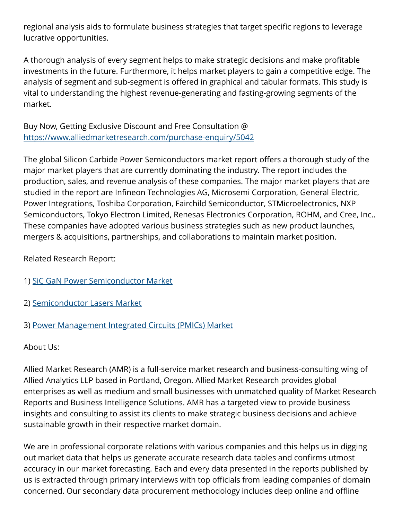regional analysis aids to formulate business strategies that target specific regions to leverage lucrative opportunities.

A thorough analysis of every segment helps to make strategic decisions and make profitable investments in the future. Furthermore, it helps market players to gain a competitive edge. The analysis of segment and sub-segment is offered in graphical and tabular formats. This study is vital to understanding the highest revenue-generating and fasting-growing segments of the market.

Buy Now, Getting Exclusive Discount and Free Consultation @ <https://www.alliedmarketresearch.com/purchase-enquiry/5042>

The global Silicon Carbide Power Semiconductors market report offers a thorough study of the major market players that are currently dominating the industry. The report includes the production, sales, and revenue analysis of these companies. The major market players that are studied in the report are Infineon Technologies AG, Microsemi Corporation, General Electric, Power Integrations, Toshiba Corporation, Fairchild Semiconductor, STMicroelectronics, NXP Semiconductors, Tokyo Electron Limited, Renesas Electronics Corporation, ROHM, and Cree, Inc.. These companies have adopted various business strategies such as new product launches, mergers & acquisitions, partnerships, and collaborations to maintain market position.

Related Research Report:

- 1) [SiC GaN Power Semiconductor Market](https://www.alliedmarketresearch.com/sic-gan-power-semiconductor-market-A14224)
- 2) [Semiconductor Lasers Market](https://www.alliedmarketresearch.com/semiconductor-lasers-market)
- 3) [Power Management Integrated Circuits \(PMICs\) Market](https://www.alliedmarketresearch.com/power-management-IC-market)

About Us:

Allied Market Research (AMR) is a full-service market research and business-consulting wing of Allied Analytics LLP based in Portland, Oregon. Allied Market Research provides global enterprises as well as medium and small businesses with unmatched quality of Market Research Reports and Business Intelligence Solutions. AMR has a targeted view to provide business insights and consulting to assist its clients to make strategic business decisions and achieve sustainable growth in their respective market domain.

We are in professional corporate relations with various companies and this helps us in digging out market data that helps us generate accurate research data tables and confirms utmost accuracy in our market forecasting. Each and every data presented in the reports published by us is extracted through primary interviews with top officials from leading companies of domain concerned. Our secondary data procurement methodology includes deep online and offline